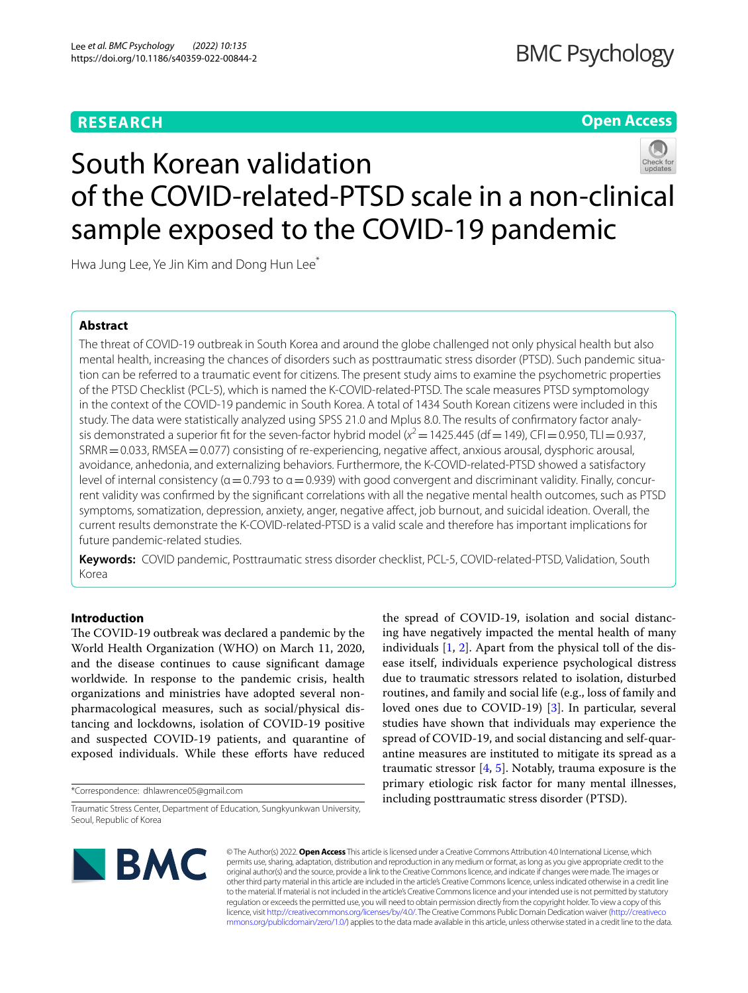# **RESEARCH**

# **Open Access**



# South Korean validation of the COVID-related-PTSD scale in a non-clinical sample exposed to the COVID-19 pandemic

Hwa Jung Lee, Ye Jin Kim and Dong Hun Lee<sup>\*</sup>

# **Abstract**

The threat of COVID-19 outbreak in South Korea and around the globe challenged not only physical health but also mental health, increasing the chances of disorders such as posttraumatic stress disorder (PTSD). Such pandemic situation can be referred to a traumatic event for citizens. The present study aims to examine the psychometric properties of the PTSD Checklist (PCL-5), which is named the K-COVID-related-PTSD. The scale measures PTSD symptomology in the context of the COVID-19 pandemic in South Korea. A total of 1434 South Korean citizens were included in this study. The data were statistically analyzed using SPSS 21.0 and Mplus 8.0. The results of confrmatory factor analysis demonstrated a superior fit for the seven-factor hybrid model  $(x^2 = 1425.445$  (df = 149), CFI = 0.950, TLI = 0.937, SRMR=0.033, RMSEA=0.077) consisting of re-experiencing, negative afect, anxious arousal, dysphoric arousal, avoidance, anhedonia, and externalizing behaviors. Furthermore, the K-COVID-related-PTSD showed a satisfactory level of internal consistency ( $\alpha$  = 0.793 to  $\alpha$  = 0.939) with good convergent and discriminant validity. Finally, concurrent validity was confrmed by the signifcant correlations with all the negative mental health outcomes, such as PTSD symptoms, somatization, depression, anxiety, anger, negative afect, job burnout, and suicidal ideation. Overall, the current results demonstrate the K-COVID-related-PTSD is a valid scale and therefore has important implications for future pandemic-related studies.

**Keywords:** COVID pandemic, Posttraumatic stress disorder checklist, PCL-5, COVID-related-PTSD, Validation, South Korea

# **Introduction**

The COVID-19 outbreak was declared a pandemic by the World Health Organization (WHO) on March 11, 2020, and the disease continues to cause signifcant damage worldwide. In response to the pandemic crisis, health organizations and ministries have adopted several nonpharmacological measures, such as social/physical distancing and lockdowns, isolation of COVID-19 positive and suspected COVID-19 patients, and quarantine of exposed individuals. While these efforts have reduced

\*Correspondence: dhlawrence05@gmail.com

the spread of COVID-19, isolation and social distancing have negatively impacted the mental health of many individuals [[1](#page-10-0), [2](#page-10-1)]. Apart from the physical toll of the disease itself, individuals experience psychological distress due to traumatic stressors related to isolation, disturbed routines, and family and social life (e.g., loss of family and loved ones due to COVID-19) [[3\]](#page-10-2). In particular, several studies have shown that individuals may experience the spread of COVID-19, and social distancing and self-quarantine measures are instituted to mitigate its spread as a traumatic stressor [[4,](#page-10-3) [5\]](#page-10-4). Notably, trauma exposure is the primary etiologic risk factor for many mental illnesses, including posttraumatic stress disorder (PTSD).



© The Author(s) 2022. **Open Access** This article is licensed under a Creative Commons Attribution 4.0 International License, which permits use, sharing, adaptation, distribution and reproduction in any medium or format, as long as you give appropriate credit to the original author(s) and the source, provide a link to the Creative Commons licence, and indicate if changes were made. The images or other third party material in this article are included in the article's Creative Commons licence, unless indicated otherwise in a credit line to the material. If material is not included in the article's Creative Commons licence and your intended use is not permitted by statutory regulation or exceeds the permitted use, you will need to obtain permission directly from the copyright holder. To view a copy of this licence, visit [http://creativecommons.org/licenses/by/4.0/.](http://creativecommons.org/licenses/by/4.0/) The Creative Commons Public Domain Dedication waiver ([http://creativeco](http://creativecommons.org/publicdomain/zero/1.0/) [mmons.org/publicdomain/zero/1.0/](http://creativecommons.org/publicdomain/zero/1.0/)) applies to the data made available in this article, unless otherwise stated in a credit line to the data.

Traumatic Stress Center, Department of Education, Sungkyunkwan University, Seoul, Republic of Korea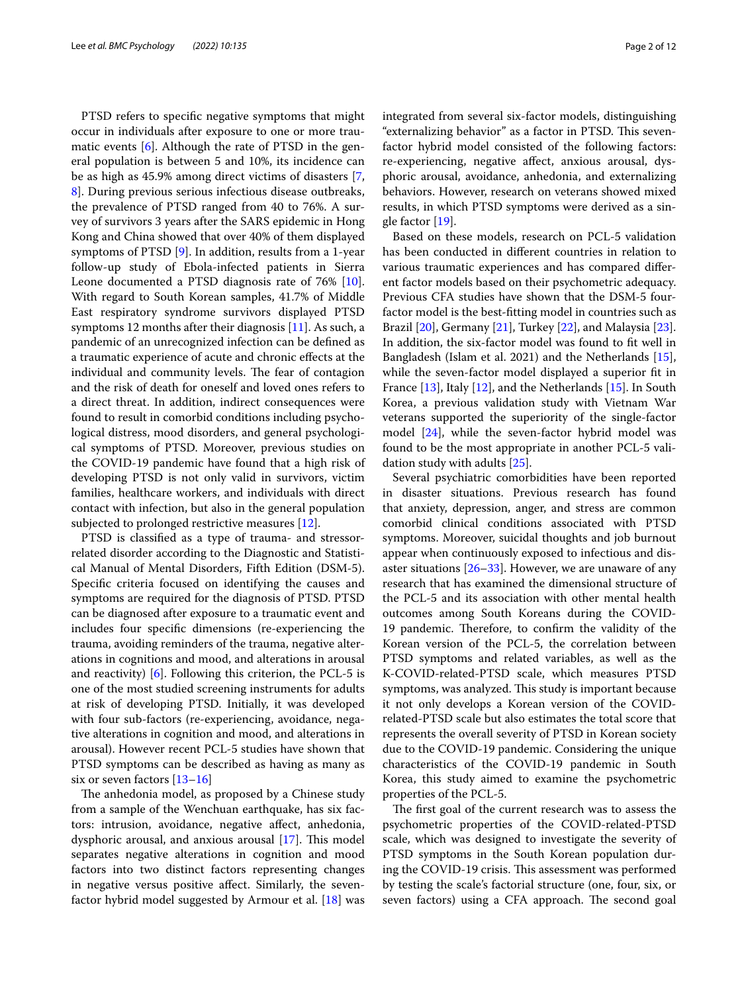PTSD refers to specifc negative symptoms that might occur in individuals after exposure to one or more traumatic events  $[6]$  $[6]$ . Although the rate of PTSD in the general population is between 5 and 10%, its incidence can be as high as 45.9% among direct victims of disasters [\[7](#page-10-6), [8\]](#page-10-7). During previous serious infectious disease outbreaks, the prevalence of PTSD ranged from 40 to 76%. A survey of survivors 3 years after the SARS epidemic in Hong Kong and China showed that over 40% of them displayed symptoms of PTSD [\[9](#page-10-8)]. In addition, results from a 1-year follow-up study of Ebola-infected patients in Sierra Leone documented a PTSD diagnosis rate of 76% [\[10](#page-10-9)]. With regard to South Korean samples, 41.7% of Middle East respiratory syndrome survivors displayed PTSD symptoms 12 months after their diagnosis [\[11](#page-10-10)]. As such, a pandemic of an unrecognized infection can be defned as a traumatic experience of acute and chronic efects at the individual and community levels. The fear of contagion and the risk of death for oneself and loved ones refers to a direct threat. In addition, indirect consequences were found to result in comorbid conditions including psychological distress, mood disorders, and general psychological symptoms of PTSD. Moreover, previous studies on the COVID-19 pandemic have found that a high risk of developing PTSD is not only valid in survivors, victim families, healthcare workers, and individuals with direct contact with infection, but also in the general population subjected to prolonged restrictive measures [\[12\]](#page-10-11).

PTSD is classifed as a type of trauma- and stressorrelated disorder according to the Diagnostic and Statistical Manual of Mental Disorders, Fifth Edition (DSM-5). Specifc criteria focused on identifying the causes and symptoms are required for the diagnosis of PTSD. PTSD can be diagnosed after exposure to a traumatic event and includes four specifc dimensions (re-experiencing the trauma, avoiding reminders of the trauma, negative alterations in cognitions and mood, and alterations in arousal and reactivity)  $[6]$  $[6]$  $[6]$ . Following this criterion, the PCL-5 is one of the most studied screening instruments for adults at risk of developing PTSD. Initially, it was developed with four sub-factors (re-experiencing, avoidance, negative alterations in cognition and mood, and alterations in arousal). However recent PCL-5 studies have shown that PTSD symptoms can be described as having as many as six or seven factors [\[13](#page-10-12)–[16\]](#page-10-13)

The anhedonia model, as proposed by a Chinese study from a sample of the Wenchuan earthquake, has six factors: intrusion, avoidance, negative afect, anhedonia, dysphoric arousal, and anxious arousal  $[17]$  $[17]$ . This model separates negative alterations in cognition and mood factors into two distinct factors representing changes in negative versus positive afect. Similarly, the sevenfactor hybrid model suggested by Armour et al. [\[18](#page-10-15)] was integrated from several six-factor models, distinguishing "externalizing behavior" as a factor in PTSD. This sevenfactor hybrid model consisted of the following factors: re-experiencing, negative afect, anxious arousal, dysphoric arousal, avoidance, anhedonia, and externalizing behaviors. However, research on veterans showed mixed results, in which PTSD symptoms were derived as a single factor [\[19](#page-10-16)].

Based on these models, research on PCL-5 validation has been conducted in diferent countries in relation to various traumatic experiences and has compared diferent factor models based on their psychometric adequacy. Previous CFA studies have shown that the DSM-5 fourfactor model is the best-ftting model in countries such as Brazil [\[20\]](#page-10-17), Germany [\[21](#page-10-18)], Turkey [[22\]](#page-10-19), and Malaysia [\[23](#page-10-20)]. In addition, the six-factor model was found to ft well in Bangladesh (Islam et al. 2021) and the Netherlands [\[15](#page-10-21)], while the seven-factor model displayed a superior ft in France [[13\]](#page-10-12), Italy [[12\]](#page-10-11), and the Netherlands [[15](#page-10-21)]. In South Korea, a previous validation study with Vietnam War veterans supported the superiority of the single-factor model [[24\]](#page-10-22), while the seven-factor hybrid model was found to be the most appropriate in another PCL-5 validation study with adults [\[25](#page-10-23)].

Several psychiatric comorbidities have been reported in disaster situations. Previous research has found that anxiety, depression, anger, and stress are common comorbid clinical conditions associated with PTSD symptoms. Moreover, suicidal thoughts and job burnout appear when continuously exposed to infectious and disaster situations  $[26-33]$  $[26-33]$ . However, we are unaware of any research that has examined the dimensional structure of the PCL-5 and its association with other mental health outcomes among South Koreans during the COVID-19 pandemic. Therefore, to confirm the validity of the Korean version of the PCL-5, the correlation between PTSD symptoms and related variables, as well as the K-COVID-related-PTSD scale, which measures PTSD symptoms, was analyzed. This study is important because it not only develops a Korean version of the COVIDrelated-PTSD scale but also estimates the total score that represents the overall severity of PTSD in Korean society due to the COVID-19 pandemic. Considering the unique characteristics of the COVID-19 pandemic in South Korea, this study aimed to examine the psychometric properties of the PCL-5.

The first goal of the current research was to assess the psychometric properties of the COVID-related-PTSD scale, which was designed to investigate the severity of PTSD symptoms in the South Korean population during the COVID-19 crisis. This assessment was performed by testing the scale's factorial structure (one, four, six, or seven factors) using a CFA approach. The second goal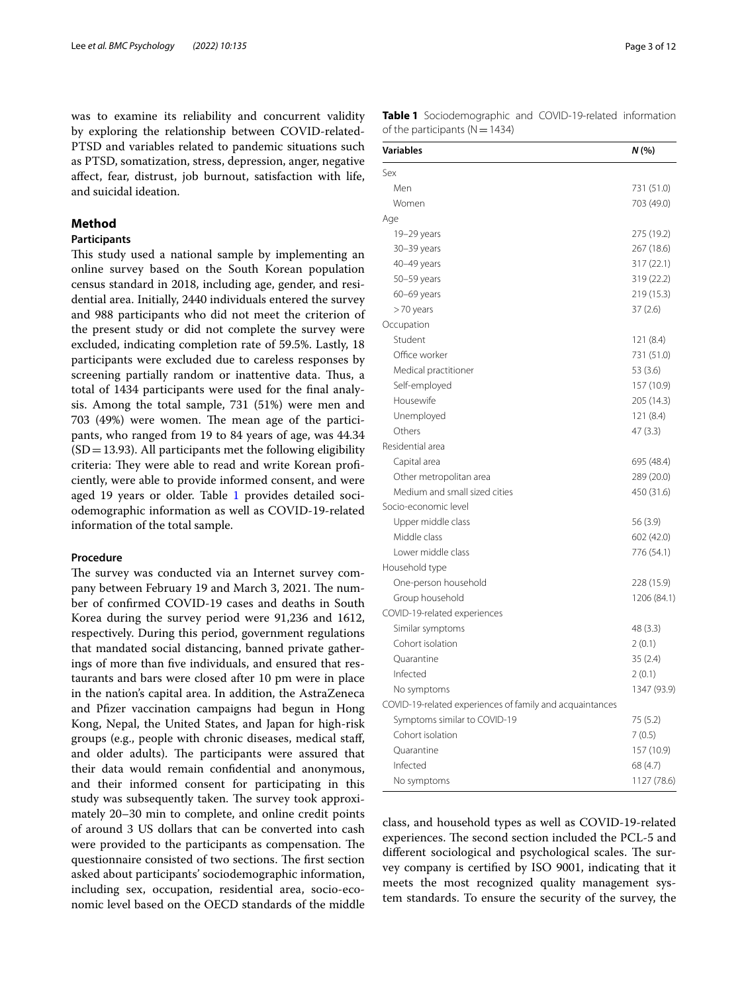was to examine its reliability and concurrent validity by exploring the relationship between COVID-related-PTSD and variables related to pandemic situations such as PTSD, somatization, stress, depression, anger, negative afect, fear, distrust, job burnout, satisfaction with life, and suicidal ideation.

## **Method**

## **Participants**

This study used a national sample by implementing an online survey based on the South Korean population census standard in 2018, including age, gender, and residential area. Initially, 2440 individuals entered the survey and 988 participants who did not meet the criterion of the present study or did not complete the survey were excluded, indicating completion rate of 59.5%. Lastly, 18 participants were excluded due to careless responses by screening partially random or inattentive data. Thus, a total of 1434 participants were used for the fnal analysis. Among the total sample, 731 (51%) were men and 703 (49%) were women. The mean age of the participants, who ranged from 19 to 84 years of age, was 44.34  $(SD = 13.93)$ . All participants met the following eligibility criteria: They were able to read and write Korean proficiently, were able to provide informed consent, and were aged 19 years or older. Table [1](#page-2-0) provides detailed sociodemographic information as well as COVID-19-related information of the total sample.

## **Procedure**

The survey was conducted via an Internet survey company between February 19 and March 3, 2021. The number of confrmed COVID-19 cases and deaths in South Korea during the survey period were 91,236 and 1612, respectively. During this period, government regulations that mandated social distancing, banned private gatherings of more than fve individuals, and ensured that restaurants and bars were closed after 10 pm were in place in the nation's capital area. In addition, the AstraZeneca and Pfizer vaccination campaigns had begun in Hong Kong, Nepal, the United States, and Japan for high-risk groups (e.g., people with chronic diseases, medical staf, and older adults). The participants were assured that their data would remain confdential and anonymous, and their informed consent for participating in this study was subsequently taken. The survey took approximately 20–30 min to complete, and online credit points of around 3 US dollars that can be converted into cash were provided to the participants as compensation. The questionnaire consisted of two sections. The first section asked about participants' sociodemographic information, including sex, occupation, residential area, socio-economic level based on the OECD standards of the middle

<span id="page-2-0"></span>**Table 1** Sociodemographic and COVID-19-related information of the participants ( $N=1434$ )

| <b>Variables</b>                                         | N(%)        |
|----------------------------------------------------------|-------------|
| Sex                                                      |             |
| Men                                                      | 731 (51.0)  |
| Women                                                    | 703 (49.0)  |
| Age                                                      |             |
| 19-29 years                                              | 275 (19.2)  |
| 30-39 years                                              | 267 (18.6)  |
| 40-49 years                                              | 317 (22.1)  |
| 50-59 years                                              | 319 (22.2)  |
| $60-69$ years                                            | 219 (15.3)  |
| >70 years                                                | 37(2.6)     |
| Occupation                                               |             |
| Student                                                  | 121 (8.4)   |
| Office worker                                            | 731 (51.0)  |
| Medical practitioner                                     | 53 (3.6)    |
| Self-employed                                            | 157 (10.9)  |
| Housewife                                                | 205 (14.3)  |
| Unemployed                                               | 121 (8.4)   |
| Others                                                   | 47(3.3)     |
| Residential area                                         |             |
| Capital area                                             | 695 (48.4)  |
| Other metropolitan area                                  | 289 (20.0)  |
| Medium and small sized cities                            | 450 (31.6)  |
| Socio-economic level                                     |             |
| Upper middle class                                       | 56 (3.9)    |
| Middle class                                             | 602 (42.0)  |
| Lower middle class                                       | 776 (54.1)  |
| Household type                                           |             |
| One-person household                                     | 228 (15.9)  |
| Group household                                          | 1206 (84.1) |
| COVID-19-related experiences                             |             |
| Similar symptoms                                         | 48 (3.3)    |
| Cohort isolation                                         | 2(0.1)      |
| Quarantine                                               | 35(2.4)     |
| Infected                                                 | 2(0.1)      |
| No symptoms                                              | 1347 (93.9) |
| COVID-19-related experiences of family and acquaintances |             |
| Symptoms similar to COVID-19                             | 75 (5.2)    |
| Cohort isolation                                         | 7(0.5)      |
| Ouarantine                                               | 157 (10.9)  |
| Infected                                                 | 68 (4.7)    |
| No symptoms                                              | 1127 (78.6) |

class, and household types as well as COVID-19-related experiences. The second section included the PCL-5 and different sociological and psychological scales. The survey company is certifed by ISO 9001, indicating that it meets the most recognized quality management system standards. To ensure the security of the survey, the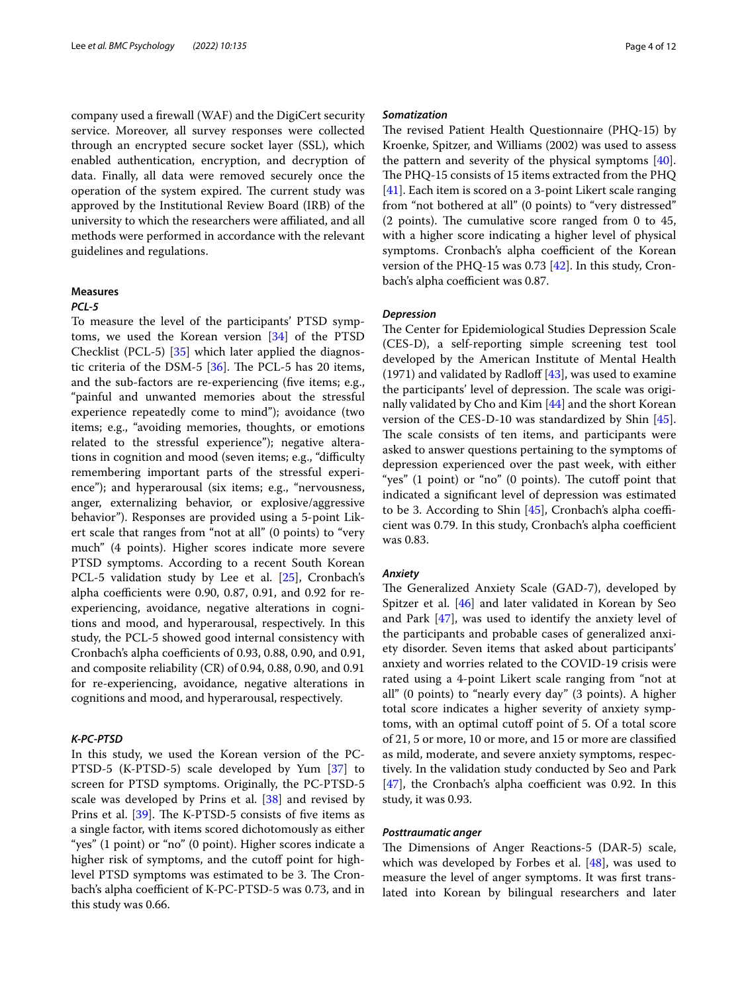company used a frewall (WAF) and the DigiCert security service. Moreover, all survey responses were collected through an encrypted secure socket layer (SSL), which enabled authentication, encryption, and decryption of data. Finally, all data were removed securely once the operation of the system expired. The current study was approved by the Institutional Review Board (IRB) of the university to which the researchers were afliated, and all methods were performed in accordance with the relevant guidelines and regulations.

#### **Measures**

#### *PCL‑5*

To measure the level of the participants' PTSD symptoms, we used the Korean version [[34](#page-11-1)] of the PTSD Checklist (PCL-5) [\[35](#page-11-2)] which later applied the diagnostic criteria of the DSM-5  $[36]$  $[36]$ . The PCL-5 has 20 items, and the sub-factors are re-experiencing (fve items; e.g., "painful and unwanted memories about the stressful experience repeatedly come to mind"); avoidance (two items; e.g., "avoiding memories, thoughts, or emotions related to the stressful experience"); negative alterations in cognition and mood (seven items; e.g., "difficulty remembering important parts of the stressful experience"); and hyperarousal (six items; e.g., "nervousness, anger, externalizing behavior, or explosive/aggressive behavior"). Responses are provided using a 5-point Likert scale that ranges from "not at all" (0 points) to "very much" (4 points). Higher scores indicate more severe PTSD symptoms. According to a recent South Korean PCL-5 validation study by Lee et al. [\[25\]](#page-10-23), Cronbach's alpha coefficients were 0.90, 0.87, 0.91, and 0.92 for reexperiencing, avoidance, negative alterations in cognitions and mood, and hyperarousal, respectively. In this study, the PCL-5 showed good internal consistency with Cronbach's alpha coefficients of 0.93, 0.88, 0.90, and 0.91, and composite reliability (CR) of 0.94, 0.88, 0.90, and 0.91 for re-experiencing, avoidance, negative alterations in cognitions and mood, and hyperarousal, respectively.

## *K‑PC‑PTSD*

In this study, we used the Korean version of the PC-PTSD-5 (K-PTSD-5) scale developed by Yum [[37\]](#page-11-4) to screen for PTSD symptoms. Originally, the PC-PTSD-5 scale was developed by Prins et al. [[38\]](#page-11-5) and revised by Prins et al. [\[39](#page-11-6)]. The K-PTSD-5 consists of five items as a single factor, with items scored dichotomously as either "yes" (1 point) or "no" (0 point). Higher scores indicate a higher risk of symptoms, and the cutoff point for highlevel PTSD symptoms was estimated to be 3. The Cronbach's alpha coefficient of K-PC-PTSD-5 was 0.73, and in this study was 0.66.

#### *Somatization*

The revised Patient Health Questionnaire (PHQ-15) by Kroenke, Spitzer, and Williams (2002) was used to assess the pattern and severity of the physical symptoms [\[40](#page-11-7)]. The PHQ-15 consists of 15 items extracted from the PHQ [[41\]](#page-11-8). Each item is scored on a 3-point Likert scale ranging from "not bothered at all" (0 points) to "very distressed"  $(2$  points). The cumulative score ranged from 0 to 45, with a higher score indicating a higher level of physical symptoms. Cronbach's alpha coefficient of the Korean version of the PHQ-15 was 0.73 [[42\]](#page-11-9). In this study, Cronbach's alpha coefficient was 0.87.

## *Depression*

The Center for Epidemiological Studies Depression Scale (CES-D), a self-reporting simple screening test tool developed by the American Institute of Mental Health (1971) and validated by Radloff  $[43]$  $[43]$ , was used to examine the participants' level of depression. The scale was originally validated by Cho and Kim [\[44](#page-11-11)] and the short Korean version of the CES-D-10 was standardized by Shin [\[45](#page-11-12)]. The scale consists of ten items, and participants were asked to answer questions pertaining to the symptoms of depression experienced over the past week, with either "yes"  $(1 \text{ point})$  or "no"  $(0 \text{ points})$ . The cutoff point that indicated a signifcant level of depression was estimated to be 3. According to Shin  $[45]$  $[45]$ , Cronbach's alpha coefficient was 0.79. In this study, Cronbach's alpha coefficient was 0.83.

## *Anxiety*

The Generalized Anxiety Scale (GAD-7), developed by Spitzer et al. [\[46](#page-11-13)] and later validated in Korean by Seo and Park [\[47](#page-11-14)], was used to identify the anxiety level of the participants and probable cases of generalized anxiety disorder. Seven items that asked about participants' anxiety and worries related to the COVID-19 crisis were rated using a 4-point Likert scale ranging from "not at all" (0 points) to "nearly every day" (3 points). A higher total score indicates a higher severity of anxiety symptoms, with an optimal cutoff point of 5. Of a total score of 21, 5 or more, 10 or more, and 15 or more are classifed as mild, moderate, and severe anxiety symptoms, respectively. In the validation study conducted by Seo and Park  $[47]$  $[47]$ , the Cronbach's alpha coefficient was 0.92. In this study, it was 0.93.

## *Posttraumatic anger*

The Dimensions of Anger Reactions-5 (DAR-5) scale, which was developed by Forbes et al. [[48](#page-11-15)], was used to measure the level of anger symptoms. It was frst translated into Korean by bilingual researchers and later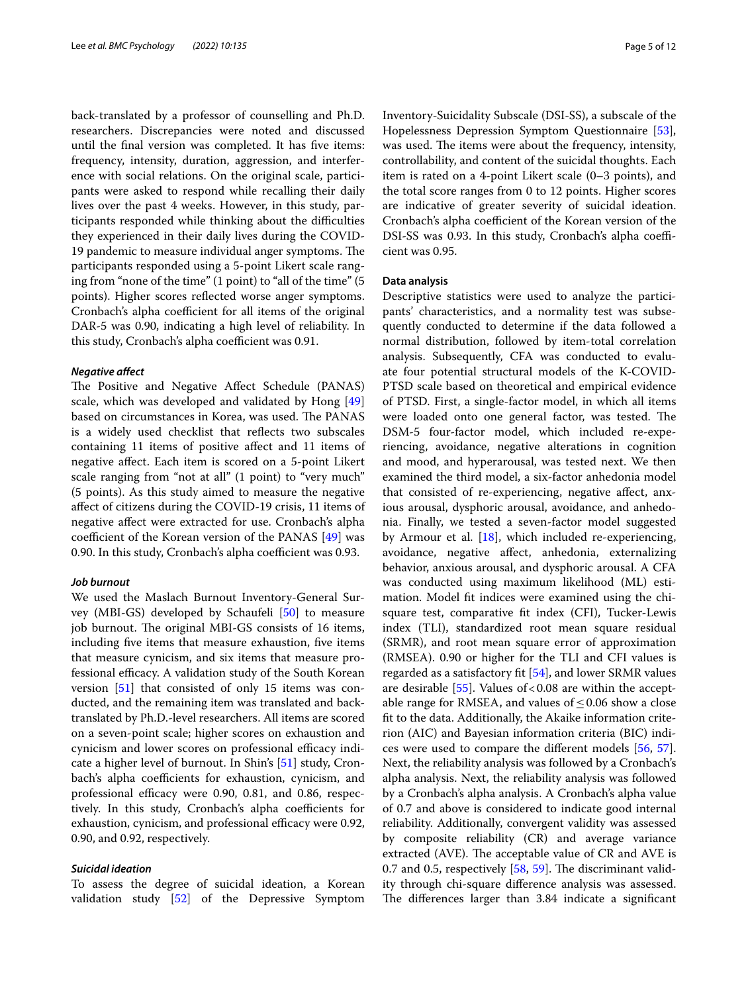back-translated by a professor of counselling and Ph.D. researchers. Discrepancies were noted and discussed until the fnal version was completed. It has fve items: frequency, intensity, duration, aggression, and interference with social relations. On the original scale, participants were asked to respond while recalling their daily lives over the past 4 weeks. However, in this study, participants responded while thinking about the difficulties they experienced in their daily lives during the COVID-19 pandemic to measure individual anger symptoms. The participants responded using a 5-point Likert scale ranging from "none of the time" (1 point) to "all of the time" (5 points). Higher scores refected worse anger symptoms. Cronbach's alpha coefficient for all items of the original DAR-5 was 0.90, indicating a high level of reliability. In this study, Cronbach's alpha coefficient was 0.91.

#### *Negative afect*

The Positive and Negative Affect Schedule (PANAS) scale, which was developed and validated by Hong [[49](#page-11-16)] based on circumstances in Korea, was used. The PANAS is a widely used checklist that refects two subscales containing 11 items of positive afect and 11 items of negative afect. Each item is scored on a 5-point Likert scale ranging from "not at all" (1 point) to "very much" (5 points). As this study aimed to measure the negative afect of citizens during the COVID-19 crisis, 11 items of negative afect were extracted for use. Cronbach's alpha coefficient of the Korean version of the PANAS  $[49]$  $[49]$  was 0.90. In this study, Cronbach's alpha coefficient was 0.93.

#### *Job burnout*

We used the Maslach Burnout Inventory-General Survey (MBI-GS) developed by Schaufeli [\[50](#page-11-17)] to measure job burnout. The original MBI-GS consists of 16 items, including fve items that measure exhaustion, fve items that measure cynicism, and six items that measure professional efficacy. A validation study of the South Korean version [\[51](#page-11-18)] that consisted of only 15 items was conducted, and the remaining item was translated and backtranslated by Ph.D.-level researchers. All items are scored on a seven-point scale; higher scores on exhaustion and cynicism and lower scores on professional efficacy indicate a higher level of burnout. In Shin's [[51](#page-11-18)] study, Cronbach's alpha coefficients for exhaustion, cynicism, and professional efficacy were 0.90, 0.81, and 0.86, respectively. In this study, Cronbach's alpha coefficients for exhaustion, cynicism, and professional efficacy were 0.92, 0.90, and 0.92, respectively.

## *Suicidal ideation*

To assess the degree of suicidal ideation, a Korean validation study [\[52\]](#page-11-19) of the Depressive Symptom Inventory-Suicidality Subscale (DSI-SS), a subscale of the Hopelessness Depression Symptom Questionnaire [\[53](#page-11-20)], was used. The items were about the frequency, intensity, controllability, and content of the suicidal thoughts. Each item is rated on a 4-point Likert scale (0–3 points), and the total score ranges from 0 to 12 points. Higher scores are indicative of greater severity of suicidal ideation. Cronbach's alpha coefficient of the Korean version of the DSI-SS was 0.93. In this study, Cronbach's alpha coefficient was 0.95.

## **Data analysis**

Descriptive statistics were used to analyze the participants' characteristics, and a normality test was subsequently conducted to determine if the data followed a normal distribution, followed by item-total correlation analysis. Subsequently, CFA was conducted to evaluate four potential structural models of the K-COVID-PTSD scale based on theoretical and empirical evidence of PTSD. First, a single-factor model, in which all items were loaded onto one general factor, was tested. The DSM-5 four-factor model, which included re-experiencing, avoidance, negative alterations in cognition and mood, and hyperarousal, was tested next. We then examined the third model, a six-factor anhedonia model that consisted of re-experiencing, negative afect, anxious arousal, dysphoric arousal, avoidance, and anhedonia. Finally, we tested a seven-factor model suggested by Armour et al. [\[18\]](#page-10-15), which included re-experiencing, avoidance, negative afect, anhedonia, externalizing behavior, anxious arousal, and dysphoric arousal. A CFA was conducted using maximum likelihood (ML) estimation. Model ft indices were examined using the chisquare test, comparative ft index (CFI), Tucker-Lewis index (TLI), standardized root mean square residual (SRMR), and root mean square error of approximation (RMSEA). 0.90 or higher for the TLI and CFI values is regarded as a satisfactory ft [\[54](#page-11-21)], and lower SRMR values are desirable  $[55]$  $[55]$ . Values of <0.08 are within the acceptable range for RMSEA, and values of  $\leq$  0.06 show a close ft to the data. Additionally, the Akaike information criterion (AIC) and Bayesian information criteria (BIC) indices were used to compare the diferent models [[56,](#page-11-23) [57](#page-11-24)]. Next, the reliability analysis was followed by a Cronbach's alpha analysis. Next, the reliability analysis was followed by a Cronbach's alpha analysis. A Cronbach's alpha value of 0.7 and above is considered to indicate good internal reliability. Additionally, convergent validity was assessed by composite reliability (CR) and average variance extracted (AVE). The acceptable value of CR and AVE is 0.7 and 0.5, respectively  $[58, 59]$  $[58, 59]$  $[58, 59]$ . The discriminant validity through chi-square diference analysis was assessed. The differences larger than 3.84 indicate a significant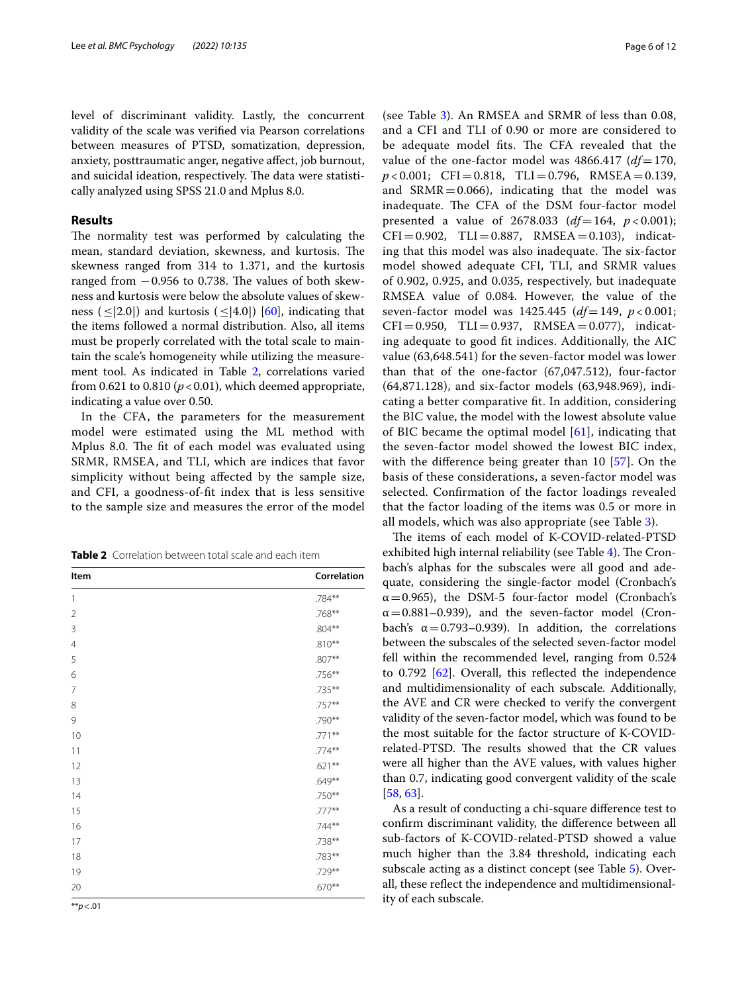level of discriminant validity. Lastly, the concurrent validity of the scale was verifed via Pearson correlations between measures of PTSD, somatization, depression, anxiety, posttraumatic anger, negative afect, job burnout, and suicidal ideation, respectively. The data were statistically analyzed using SPSS 21.0 and Mplus 8.0.

## **Results**

The normality test was performed by calculating the mean, standard deviation, skewness, and kurtosis. The skewness ranged from 314 to 1.371, and the kurtosis ranged from  $-0.956$  to 0.738. The values of both skewness and kurtosis were below the absolute values of skewness ( $\leq$ [2.0]) and kurtosis ( $\leq$ [4.0]) [[60\]](#page-11-27), indicating that the items followed a normal distribution. Also, all items must be properly correlated with the total scale to maintain the scale's homogeneity while utilizing the measurement tool. As indicated in Table [2,](#page-5-0) correlations varied from  $0.621$  to  $0.810$  ( $p < 0.01$ ), which deemed appropriate, indicating a value over 0.50.

In the CFA, the parameters for the measurement model were estimated using the ML method with Mplus 8.0. The fit of each model was evaluated using SRMR, RMSEA, and TLI, which are indices that favor simplicity without being afected by the sample size, and CFI, a goodness-of-ft index that is less sensitive to the sample size and measures the error of the model

<span id="page-5-0"></span>

| <b>Table 2</b> Correlation between total scale and each item |  |
|--------------------------------------------------------------|--|
|--------------------------------------------------------------|--|

| Item           | Correlation |
|----------------|-------------|
| 1              | .784**      |
| $\overline{2}$ | .768**      |
| 3              | $.804**$    |
| $\overline{4}$ | $.810**$    |
| 5              | $.807**$    |
| 6              | .756**      |
| 7              | .735**      |
| 8              | .757**      |
| 9              | .790**      |
| 10             | $.771**$    |
| 11             | $.774**$    |
| 12             | $.621***$   |
| 13             | $.649**$    |
| 14             | .750**      |
| 15             | $.777**$    |
| 16             | $.744**$    |
| 17             | .738**      |
| 18             | .783**      |
| 19             | .729**      |
| 20             | $.670**$    |

(see Table [3\)](#page-6-0). An RMSEA and SRMR of less than 0.08, and a CFI and TLI of 0.90 or more are considered to be adequate model fits. The CFA revealed that the value of the one-factor model was  $4866.417$  ( $df=170$ , *p* < 0.001; CFI=0.818, TLI=0.796, RMSEA=0.139, and  $SRMR = 0.066$ ), indicating that the model was inadequate. The CFA of the DSM four-factor model presented a value of  $2678.033$   $(df=164, p<0.001);$  $CFI = 0.902$ ,  $TLI = 0.887$ ,  $RMSEA = 0.103$ ), indicating that this model was also inadequate. The six-factor model showed adequate CFI, TLI, and SRMR values of 0.902, 0.925, and 0.035, respectively, but inadequate RMSEA value of 0.084. However, the value of the seven-factor model was 1425.445 (*df*=149, *p* < 0.001;  $CFI = 0.950$ ,  $TLI = 0.937$ ,  $RMSEA = 0.077$ ), indicating adequate to good ft indices. Additionally, the AIC value (63,648.541) for the seven-factor model was lower than that of the one-factor (67,047.512), four-factor (64,871.128), and six-factor models (63,948.969), indicating a better comparative ft. In addition, considering the BIC value, the model with the lowest absolute value of BIC became the optimal model [\[61](#page-11-28)], indicating that the seven-factor model showed the lowest BIC index, with the diference being greater than 10 [[57](#page-11-24)]. On the basis of these considerations, a seven-factor model was selected. Confrmation of the factor loadings revealed that the factor loading of the items was 0.5 or more in all models, which was also appropriate (see Table [3\)](#page-6-0).

The items of each model of K-COVID-related-PTSD exhibited high internal reliability (see Table [4](#page-7-0)). The Cronbach's alphas for the subscales were all good and adequate, considering the single-factor model (Cronbach's  $\alpha$  = 0.965), the DSM-5 four-factor model (Cronbach's  $\alpha$  = 0.881–0.939), and the seven-factor model (Cronbach's  $\alpha = 0.793 - 0.939$ . In addition, the correlations between the subscales of the selected seven-factor model fell within the recommended level, ranging from 0.524 to 0.792 [\[62](#page-11-29)]. Overall, this refected the independence and multidimensionality of each subscale. Additionally, the AVE and CR were checked to verify the convergent validity of the seven-factor model, which was found to be the most suitable for the factor structure of K-COVIDrelated-PTSD. The results showed that the CR values were all higher than the AVE values, with values higher than 0.7, indicating good convergent validity of the scale [[58,](#page-11-25) [63](#page-11-30)].

As a result of conducting a chi-square diference test to confrm discriminant validity, the diference between all sub-factors of K-COVID-related-PTSD showed a value much higher than the 3.84 threshold, indicating each subscale acting as a distinct concept (see Table [5](#page-8-0)). Overall, these refect the independence and multidimensionality of each subscale.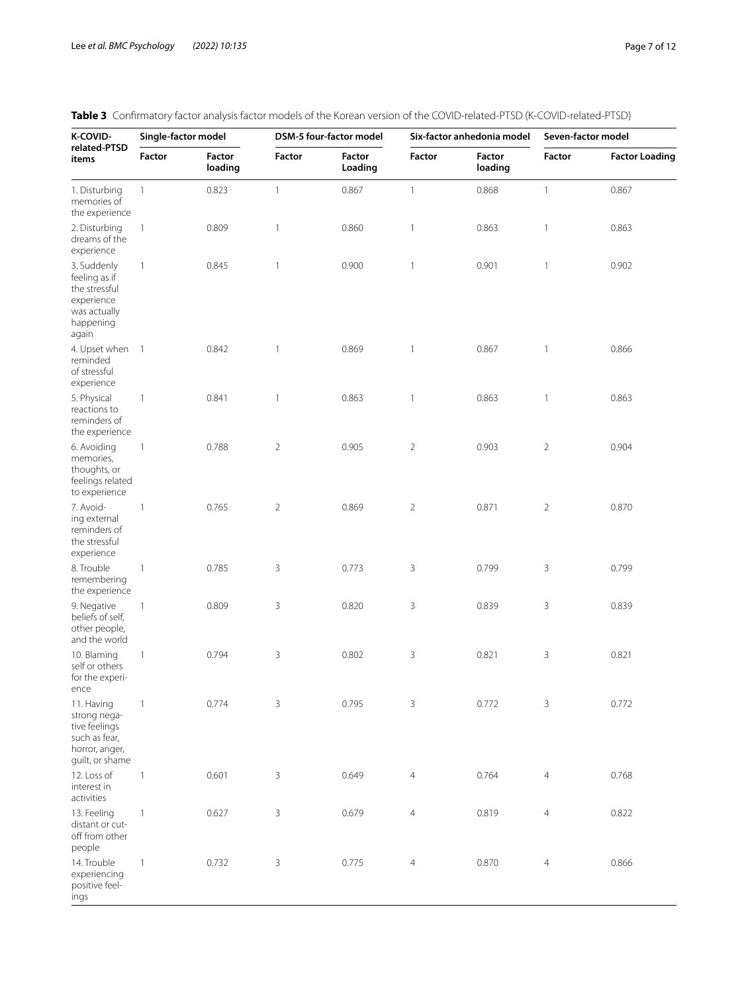| K-COVID-<br>related-PTSD<br>items                                                                 | Single-factor model |                          | DSM-5 four-factor model |                   |                | Six-factor anhedonia model | Seven-factor model |                       |  |
|---------------------------------------------------------------------------------------------------|---------------------|--------------------------|-------------------------|-------------------|----------------|----------------------------|--------------------|-----------------------|--|
|                                                                                                   | Factor              | <b>Factor</b><br>loading | Factor                  | Factor<br>Loading | <b>Factor</b>  | Factor<br>loading          | Factor             | <b>Factor Loading</b> |  |
| 1. Disturbing<br>memories of<br>the experience                                                    | $\mathbf{1}$        | 0.823                    | $\mathbf{1}$            | 0.867             | $\mathbf{1}$   | 0.868                      | $\mathbf{1}$       | 0.867                 |  |
| 2. Disturbing<br>dreams of the<br>experience                                                      | 1                   | 0.809                    | $\mathbf{1}$            | 0.860             | 1              | 0.863                      | 1                  | 0.863                 |  |
| 3. Suddenly<br>feeling as if<br>the stressful<br>experience<br>was actually<br>happening<br>again | 1                   | 0.845                    | $\mathbf{1}$            | 0.900             | 1              | 0.901                      | 1                  | 0.902                 |  |
| 4. Upset when 1<br>reminded<br>of stressful<br>experience                                         |                     | 0.842                    | $\mathbf{1}$            | 0.869             | 1              | 0.867                      | 1                  | 0.866                 |  |
| 5. Physical<br>reactions to<br>reminders of<br>the experience                                     | $\mathbf{1}$        | 0.841                    | $\mathbf{1}$            | 0.863             | 1              | 0.863                      | 1                  | 0.863                 |  |
| 6. Avoiding<br>memories,<br>thoughts, or<br>feelings related<br>to experience                     | $\mathbf{1}$        | 0.788                    | $\overline{2}$          | 0.905             | $\overline{2}$ | 0.903                      | $\overline{2}$     | 0.904                 |  |
| 7. Avoid-<br>ing external<br>reminders of<br>the stressful<br>experience                          | $\mathbf{1}$        | 0.765                    | $\overline{2}$          | 0.869             | $\overline{2}$ | 0.871                      | $\overline{2}$     | 0.870                 |  |
| 8. Trouble<br>remembering<br>the experience                                                       | $\mathbf{1}$        | 0.785                    | 3                       | 0.773             | 3              | 0.799                      | 3                  | 0.799                 |  |
| 9. Negative<br>beliefs of self,<br>other people,<br>and the world                                 | $\mathbf{1}$        | 0.809                    | 3                       | 0.820             | 3              | 0.839                      | 3                  | 0.839                 |  |
| 10. Blaming<br>self or others<br>for the experi-<br>ence                                          | $\mathbf{1}$        | 0.794                    | 3                       | 0.802             | 3              | 0.821                      | 3                  | 0.821                 |  |
| 11. Having<br>strong nega-<br>tive feelings<br>such as fear,<br>horror, anger,<br>guilt, or shame | $\mathbf{1}$        | 0.774                    | 3                       | 0.795             | 3              | 0.772                      | 3                  | 0.772                 |  |
| 12. Loss of<br>interest in<br>activities                                                          | $\mathbf{1}$        | 0.601                    | 3                       | 0.649             | $\overline{4}$ | 0.764                      | $\overline{4}$     | 0.768                 |  |
| 13. Feeling<br>distant or cut-<br>off from other<br>people                                        | $\mathbf{1}$        | 0.627                    | 3                       | 0.679             | $\overline{4}$ | 0.819                      | 4                  | 0.822                 |  |
| 14. Trouble<br>experiencing<br>positive feel-<br>ings                                             | 1                   | 0.732                    | 3                       | 0.775             | 4              | 0.870                      | 4                  | 0.866                 |  |

# <span id="page-6-0"></span>**Table 3** Confrmatory factor analysis factor models of the Korean version of the COVID-related-PTSD (K-COVID-related-PTSD)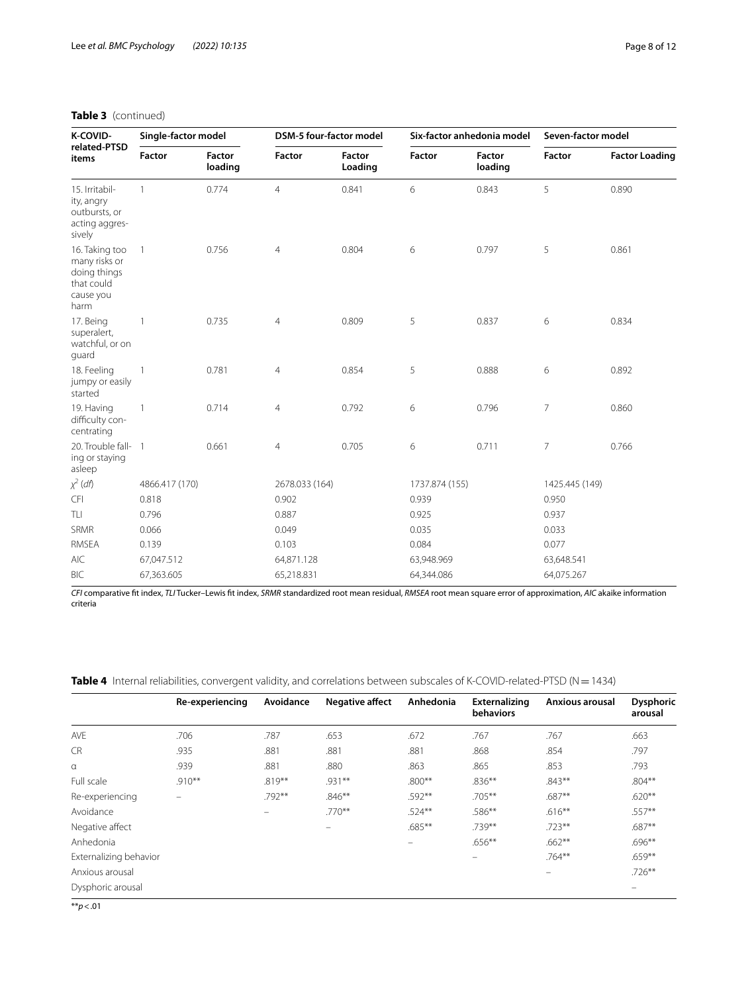| K-COVID-                                                                           | Single-factor model |                          | <b>DSM-5 four-factor model</b> |                          | Six-factor anhedonia model |                          | Seven-factor model |                       |
|------------------------------------------------------------------------------------|---------------------|--------------------------|--------------------------------|--------------------------|----------------------------|--------------------------|--------------------|-----------------------|
| related-PTSD<br>items                                                              | <b>Factor</b>       | <b>Factor</b><br>loading | <b>Factor</b>                  | <b>Factor</b><br>Loading | <b>Factor</b>              | <b>Factor</b><br>loading | <b>Factor</b>      | <b>Factor Loading</b> |
| 15. Irritabil-<br>ity, angry<br>outbursts, or<br>acting aggres-<br>sively          | $\mathbf{1}$        | 0.774                    | $\overline{4}$                 | 0.841                    | 6                          | 0.843                    | 5                  | 0.890                 |
| 16. Taking too<br>many risks or<br>doing things<br>that could<br>cause you<br>harm | $\overline{1}$      | 0.756                    | $\overline{4}$                 | 0.804                    | 6                          | 0.797                    | 5                  | 0.861                 |
| 17. Being<br>superalert,<br>watchful, or on<br>quard                               | $\mathbf{1}$        | 0.735                    | $\overline{4}$                 | 0.809                    | 5                          | 0.837                    | 6                  | 0.834                 |
| 18. Feeling<br>jumpy or easily<br>started                                          | $\overline{1}$      | 0.781                    | 4                              | 0.854                    | 5                          | 0.888                    | 6                  | 0.892                 |
| 19. Having<br>difficulty con-<br>centrating                                        | $\overline{1}$      | 0.714                    | 4                              | 0.792                    | 6                          | 0.796                    | 7                  | 0.860                 |
| 20. Trouble fall- 1<br>ing or staying<br>asleep                                    |                     | 0.661                    | 4                              | 0.705                    | 6                          | 0.711                    | 7                  | 0.766                 |
| $\chi^2$ (df)                                                                      | 4866.417 (170)      |                          | 2678.033 (164)                 |                          | 1737.874 (155)             |                          | 1425.445 (149)     |                       |
| CFI                                                                                | 0.818               |                          | 0.902                          |                          | 0.939                      |                          | 0.950              |                       |
| TLI                                                                                | 0.796               |                          | 0.887                          |                          | 0.925                      |                          | 0.937              |                       |
| SRMR                                                                               | 0.066               |                          | 0.049                          |                          | 0.035                      |                          | 0.033              |                       |
| RMSEA                                                                              | 0.139               |                          | 0.103                          |                          | 0.084                      |                          | 0.077              |                       |
| <b>AIC</b>                                                                         | 67,047.512          |                          | 64,871.128                     |                          | 63,948.969                 |                          | 63,648.541         |                       |
| <b>BIC</b>                                                                         | 67,363.605          |                          | 65,218.831                     |                          | 64,344.086                 |                          | 64,075.267         |                       |

## **Table 3** (continued)

*CFI* comparative ft index, *TLI* Tucker–Lewis ft index, *SRMR* standardized root mean residual, *RMSEA* root mean square error of approximation, *AIC* akaike information criteria

<span id="page-7-0"></span>

|  | Table 4 Internal reliabilities, convergent validity, and correlations between subscales of K-COVID-related-PTSD (N = 1434) |  |  |  |  |  |
|--|----------------------------------------------------------------------------------------------------------------------------|--|--|--|--|--|
|--|----------------------------------------------------------------------------------------------------------------------------|--|--|--|--|--|

|                        | Re-experiencing | Avoidance | <b>Negative affect</b>   | Anhedonia | <b>Externalizing</b><br><b>behaviors</b> | Anxious arousal | <b>Dysphoric</b><br>arousal |
|------------------------|-----------------|-----------|--------------------------|-----------|------------------------------------------|-----------------|-----------------------------|
| <b>AVE</b>             | .706            | .787      | .653                     | .672      | .767                                     | .767            | .663                        |
| <b>CR</b>              | .935            | .881      | .881                     | .881      | .868                                     | .854            | .797                        |
| $\alpha$               | .939            | .881      | .880                     | .863      | .865                                     | .853            | .793                        |
| Full scale             | $.910***$       | $.819***$ | .931**                   | $.800**$  | $.836***$                                | $.843**$        | $.804***$                   |
| Re-experiencing        | -               | .792**    | $.846**$                 | $.592**$  | .705**                                   | .687**          | $.620**$                    |
| Avoidance              |                 | $\equiv$  | $.770**$                 | $.524***$ | .586**                                   | $.616***$       | .557**                      |
| Negative affect        |                 |           | $\overline{\phantom{0}}$ | $.685***$ | .739**                                   | $.723**$        | $.687**$                    |
| Anhedonia              |                 |           |                          |           | $.656***$                                | $.662***$       | $.696***$                   |
| Externalizing behavior |                 |           |                          |           | $\qquad \qquad$                          | $.764***$       | $.659**$                    |
| Anxious arousal        |                 |           |                          |           |                                          | -               | $.726***$                   |
| Dysphoric arousal      |                 |           |                          |           |                                          |                 | -                           |

\*\**p*<.01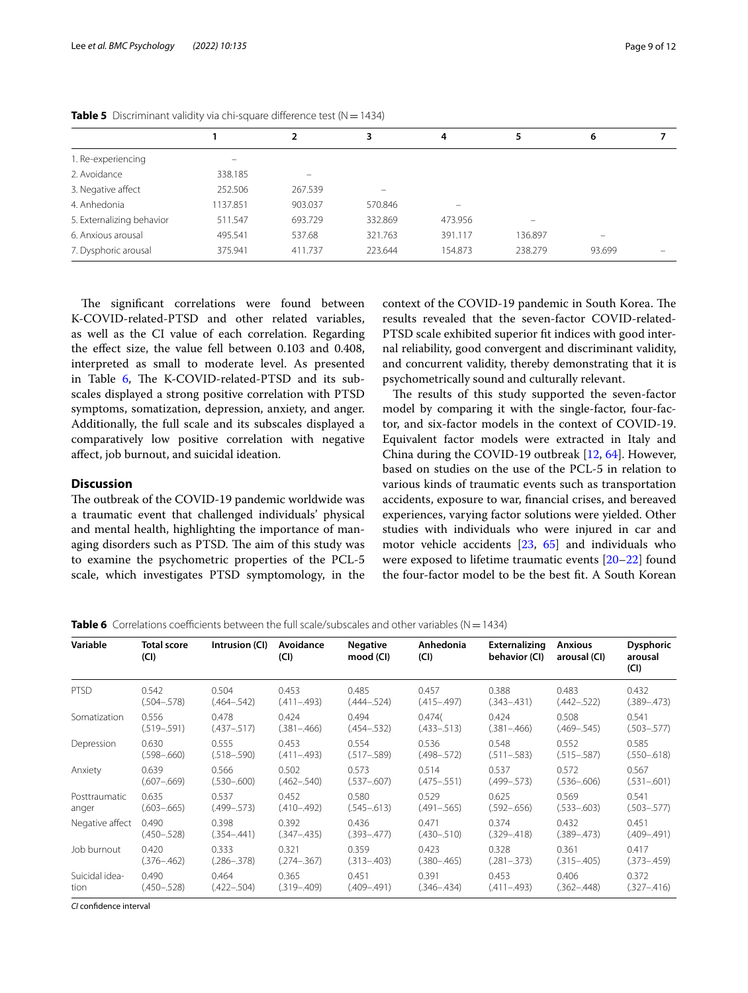|                           |          |         | 3       | 4       |         | 6                       |  |
|---------------------------|----------|---------|---------|---------|---------|-------------------------|--|
| 1. Re-experiencing        |          |         |         |         |         |                         |  |
| 2. Avoidance              | 338.185  | -       |         |         |         |                         |  |
| 3. Negative affect        | 252.506  | 267.539 | -       |         |         |                         |  |
| 4. Anhedonia              | 1137.851 | 903.037 | 570.846 |         |         |                         |  |
| 5. Externalizing behavior | 511.547  | 693.729 | 332.869 | 473.956 |         |                         |  |
| 6. Anxious arousal        | 495.541  | 537.68  | 321.763 | 391.117 | 136.897 | $\qquad \qquad \  \, -$ |  |
| 7. Dysphoric arousal      | 375.941  | 411.737 | 223.644 | 154.873 | 238.279 | 93.699                  |  |
|                           |          |         |         |         |         |                         |  |

<span id="page-8-0"></span>**Table 5** Discriminant validity via chi-square difference test  $(N = 1434)$ 

The significant correlations were found between K-COVID-related-PTSD and other related variables, as well as the CI value of each correlation. Regarding the efect size, the value fell between 0.103 and 0.408, interpreted as small to moderate level. As presented in Table  $6$ , The K-COVID-related-PTSD and its subscales displayed a strong positive correlation with PTSD symptoms, somatization, depression, anxiety, and anger. Additionally, the full scale and its subscales displayed a comparatively low positive correlation with negative afect, job burnout, and suicidal ideation.

## **Discussion**

The outbreak of the COVID-19 pandemic worldwide was a traumatic event that challenged individuals' physical and mental health, highlighting the importance of managing disorders such as PTSD. The aim of this study was to examine the psychometric properties of the PCL-5 scale, which investigates PTSD symptomology, in the

context of the COVID-19 pandemic in South Korea. The results revealed that the seven-factor COVID-related-PTSD scale exhibited superior ft indices with good internal reliability, good convergent and discriminant validity, and concurrent validity, thereby demonstrating that it is psychometrically sound and culturally relevant.

The results of this study supported the seven-factor model by comparing it with the single-factor, four-factor, and six-factor models in the context of COVID-19. Equivalent factor models were extracted in Italy and China during the COVID-19 outbreak [[12](#page-10-11), [64](#page-11-31)]. However, based on studies on the use of the PCL-5 in relation to various kinds of traumatic events such as transportation accidents, exposure to war, fnancial crises, and bereaved experiences, varying factor solutions were yielded. Other studies with individuals who were injured in car and motor vehicle accidents [\[23](#page-10-20), [65](#page-11-32)] and individuals who were exposed to lifetime traumatic events [[20–](#page-10-17)[22\]](#page-10-19) found the four-factor model to be the best ft. A South Korean

<span id="page-8-1"></span>

| <b>Table 6</b> Correlations coefficients between the full scale/subscales and other variables ( $N = 1434$ ) |  |  |  |  |
|--------------------------------------------------------------------------------------------------------------|--|--|--|--|
|                                                                                                              |  |  |  |  |

| Variable        | <b>Total score</b><br>(CI) | Intrusion (CI)  | Avoidance<br>(CI) | <b>Negative</b><br>mood (CI) | Anhedonia<br>(Cl) | Externalizing<br>behavior (CI) | <b>Anxious</b><br>arousal (CI) | <b>Dysphoric</b><br>arousal<br>(Cl) |
|-----------------|----------------------------|-----------------|-------------------|------------------------------|-------------------|--------------------------------|--------------------------------|-------------------------------------|
| <b>PTSD</b>     | 0.542                      | 0.504           | 0.453             | 0.485                        | 0.457             | 0.388                          | 0.483                          | 0.432                               |
|                 | $(.504 - .578)$            | $(.464 - .542)$ | $(.411 - .493)$   | $(.444-.524)$                | $(.415 - .497)$   | $(.343 - .431)$                | $(.442 - .522)$                | $(.389 - .473)$                     |
| Somatization    | 0.556                      | 0.478           | 0.424             | 0.494                        | 0.474(            | 0.424                          | 0.508                          | 0.541                               |
|                 | $(.519-.591)$              | $(.437 - .517)$ | $(.381 - .466)$   | $(.454 - .532)$              | $(.433 - .513)$   | $(.381 - .466)$                | $(.469-.545)$                  | $(.503 - .577)$                     |
| Depression      | 0.630                      | 0.555           | 0.453             | 0.554                        | 0.536             | 0.548                          | 0.552                          | 0.585                               |
|                 | $(.598 - .660)$            | $(.518 - .590)$ | $(.411 - .493)$   | $(.517 - .589)$              | $(.498 - .572)$   | $(.511 - .583)$                | $(.515-.587)$                  | $(.550 - .618)$                     |
| Anxiety         | 0.639                      | 0.566           | 0.502             | 0.573                        | 0.514             | 0.537                          | 0.572                          | 0.567                               |
|                 | $(.607 - .669)$            | $(.530 - .600)$ | $(.462 - .540)$   | $(.537 - .607)$              | $(.475-.551)$     | $(.499-.573)$                  | $(.536 - .606)$                | $(.531 - .601)$                     |
| Posttraumatic   | 0.635                      | 0.537           | 0.452             | 0.580                        | 0.529             | 0.625                          | 0.569                          | 0.541                               |
| anger           | $(.603 - .665)$            | $(.499-.573)$   | $(.410 - .492)$   | $(.545 - .613)$              | $(.491 - .565)$   | $(.592 - .656)$                | $(.533 - .603)$                | $(.503 - .577)$                     |
| Negative affect | 0.490                      | 0.398           | 0.392             | 0.436                        | 0.471             | 0.374                          | 0.432                          | 0.451                               |
|                 | $(.450 - .528)$            | $(.354 - .441)$ | $(.347 - .435)$   | $(.393 - .477)$              | $(.430 - .510)$   | $(.329 - .418)$                | $(.389 - .473)$                | $(.409-.491)$                       |
| Job burnout     | 0.420                      | 0.333           | 0.321             | 0.359                        | 0.423             | 0.328                          | 0.361                          | 0.417                               |
|                 | $(.376 - .462)$            | $(.286 - .378)$ | $(.274 - .367)$   | $(.313 - .403)$              | (.380–.465)       | $(.281 - .373)$                | $(.315 - .405)$                | $(.373 - .459)$                     |
| Suicidal idea-  | 0.490                      | 0.464           | 0.365             | 0.451                        | 0.391             | 0.453                          | 0.406                          | 0.372                               |
| tion            | $(.450 - .528)$            | $(.422-.504)$   | $(.319 - .409)$   | $(.409-.491)$                | $(.346 - .434)$   | $(.411 - .493)$                | $(.362 - .448)$                | $(.327 - .416)$                     |

*CI* confdence interval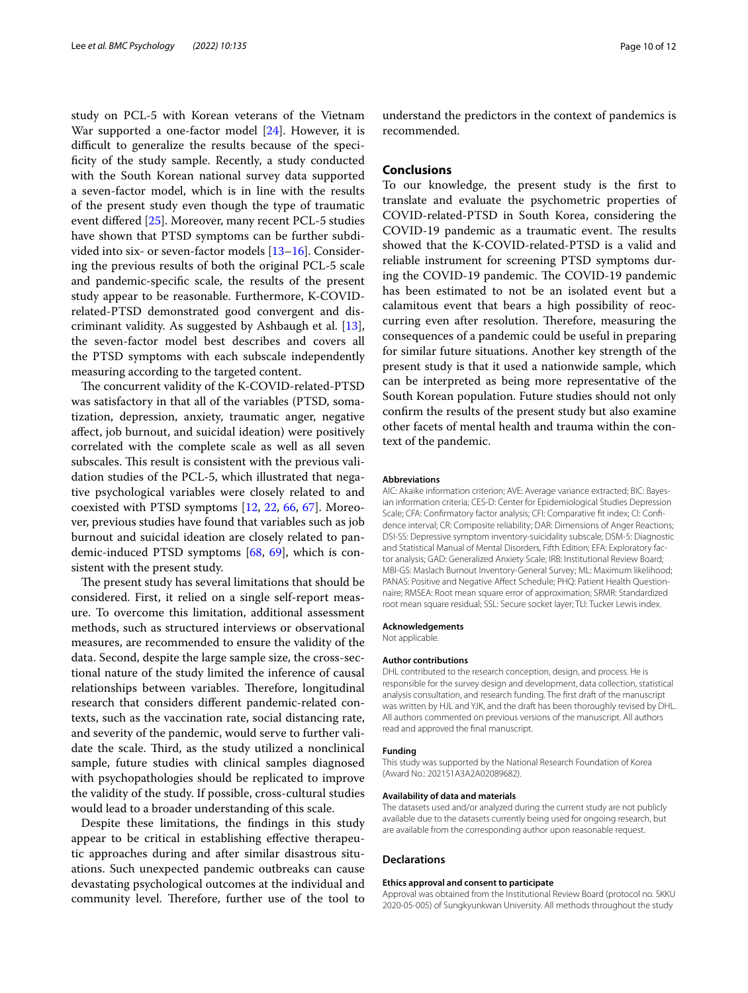study on PCL-5 with Korean veterans of the Vietnam War supported a one-factor model [\[24](#page-10-22)]. However, it is difficult to generalize the results because of the specifcity of the study sample. Recently, a study conducted with the South Korean national survey data supported a seven-factor model, which is in line with the results of the present study even though the type of traumatic event difered [\[25](#page-10-23)]. Moreover, many recent PCL-5 studies have shown that PTSD symptoms can be further subdivided into six- or seven-factor models [[13](#page-10-12)[–16](#page-10-13)]. Considering the previous results of both the original PCL-5 scale and pandemic-specifc scale, the results of the present study appear to be reasonable. Furthermore, K-COVIDrelated-PTSD demonstrated good convergent and discriminant validity. As suggested by Ashbaugh et al. [\[13](#page-10-12)], the seven-factor model best describes and covers all the PTSD symptoms with each subscale independently measuring according to the targeted content.

The concurrent validity of the K-COVID-related-PTSD was satisfactory in that all of the variables (PTSD, somatization, depression, anxiety, traumatic anger, negative afect, job burnout, and suicidal ideation) were positively correlated with the complete scale as well as all seven subscales. This result is consistent with the previous validation studies of the PCL-5, which illustrated that negative psychological variables were closely related to and coexisted with PTSD symptoms [\[12](#page-10-11), [22](#page-10-19), [66,](#page-11-33) [67\]](#page-11-34). Moreover, previous studies have found that variables such as job burnout and suicidal ideation are closely related to pandemic-induced PTSD symptoms [[68,](#page-11-35) [69](#page-11-36)], which is consistent with the present study.

The present study has several limitations that should be considered. First, it relied on a single self-report measure. To overcome this limitation, additional assessment methods, such as structured interviews or observational measures, are recommended to ensure the validity of the data. Second, despite the large sample size, the cross-sectional nature of the study limited the inference of causal relationships between variables. Therefore, longitudinal research that considers diferent pandemic-related contexts, such as the vaccination rate, social distancing rate, and severity of the pandemic, would serve to further validate the scale. Third, as the study utilized a nonclinical sample, future studies with clinical samples diagnosed with psychopathologies should be replicated to improve the validity of the study. If possible, cross-cultural studies would lead to a broader understanding of this scale.

Despite these limitations, the fndings in this study appear to be critical in establishing efective therapeutic approaches during and after similar disastrous situations. Such unexpected pandemic outbreaks can cause devastating psychological outcomes at the individual and community level. Therefore, further use of the tool to

understand the predictors in the context of pandemics is recommended.

## **Conclusions**

To our knowledge, the present study is the frst to translate and evaluate the psychometric properties of COVID-related-PTSD in South Korea, considering the COVID-19 pandemic as a traumatic event. The results showed that the K-COVID-related-PTSD is a valid and reliable instrument for screening PTSD symptoms during the COVID-19 pandemic. The COVID-19 pandemic has been estimated to not be an isolated event but a calamitous event that bears a high possibility of reoccurring even after resolution. Therefore, measuring the consequences of a pandemic could be useful in preparing for similar future situations. Another key strength of the present study is that it used a nationwide sample, which can be interpreted as being more representative of the South Korean population. Future studies should not only confrm the results of the present study but also examine other facets of mental health and trauma within the context of the pandemic.

#### **Abbreviations**

AIC: Akaike information criterion; AVE: Average variance extracted; BIC: Bayesian information criteria; CES-D: Center for Epidemiological Studies Depression Scale; CFA: Confrmatory factor analysis; CFI: Comparative ft index; CI: Confdence interval; CR: Composite reliability; DAR: Dimensions of Anger Reactions; DSI-SS: Depressive symptom inventory-suicidality subscale; DSM-5: Diagnostic and Statistical Manual of Mental Disorders, Fifth Edition; EFA: Exploratory factor analysis; GAD: Generalized Anxiety Scale; IRB: Institutional Review Board; MBI-GS: Maslach Burnout Inventory-General Survey; ML: Maximum likelihood; PANAS: Positive and Negative Afect Schedule; PHQ: Patient Health Questionnaire; RMSEA: Root mean square error of approximation; SRMR: Standardized root mean square residual; SSL: Secure socket layer; TLI: Tucker Lewis index.

# **Acknowledgements**

Not applicable.

#### **Author contributions**

DHL contributed to the research conception, design, and process. He is responsible for the survey design and development, data collection, statistical analysis consultation, and research funding. The frst draft of the manuscript was written by HJL and YJK, and the draft has been thoroughly revised by DHL. All authors commented on previous versions of the manuscript. All authors read and approved the fnal manuscript.

#### **Funding**

This study was supported by the National Research Foundation of Korea (Award No.: 2021S1A3A2A02089682).

#### **Availability of data and materials**

The datasets used and/or analyzed during the current study are not publicly available due to the datasets currently being used for ongoing research, but are available from the corresponding author upon reasonable request.

#### **Declarations**

#### **Ethics approval and consent to participate**

Approval was obtained from the Institutional Review Board (protocol no. SKKU 2020-05-005) of Sungkyunkwan University. All methods throughout the study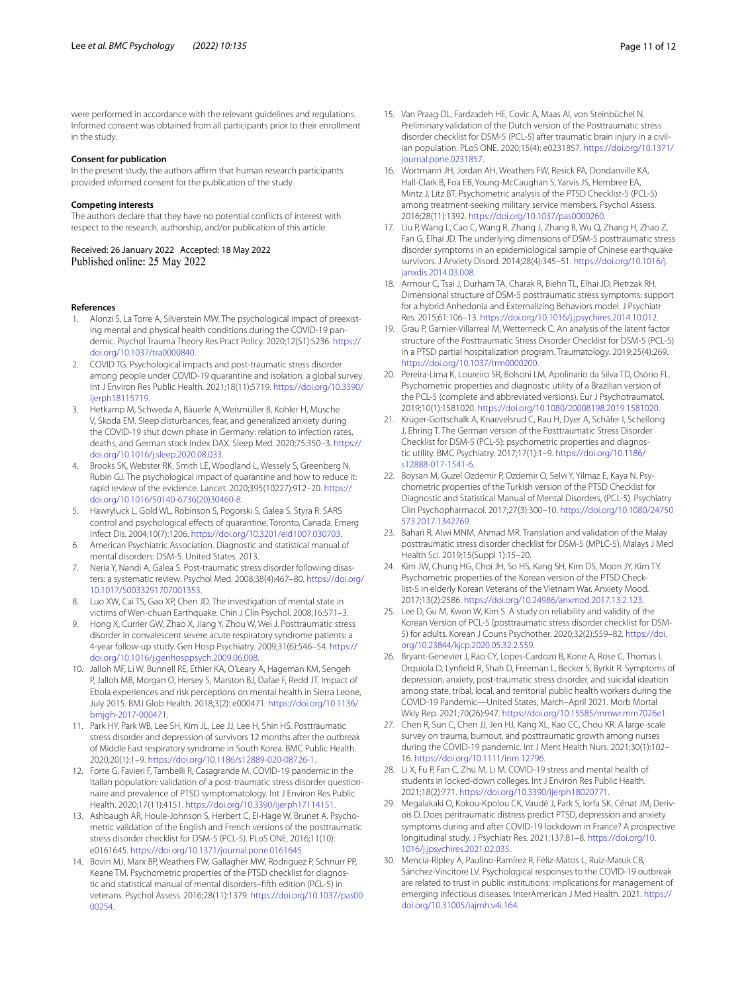were performed in accordance with the relevant guidelines and regulations. Informed consent was obtained from all participants prior to their enrollment in the study.

#### **Consent for publication**

In the present study, the authors affirm that human research participants provided informed consent for the publication of the study.

#### **Competing interests**

The authors declare that they have no potential conficts of interest with respect to the research, authorship, and/or publication of this article.

Received: 26 January 2022 Accepted: 18 May 2022<br>Published online: 25 May 2022

#### **References**

- <span id="page-10-0"></span>1. Alonzi S, La Torre A, Silverstein MW. The psychological impact of preexisting mental and physical health conditions during the COVID-19 pandemic. Psychol Trauma Theory Res Pract Policy. 2020;12(S1):S236. [https://](https://doi.org/10.1037/tra0000840) [doi.org/10.1037/tra0000840.](https://doi.org/10.1037/tra0000840)
- <span id="page-10-1"></span>2. COVID TG. Psychological impacts and post-traumatic stress disorder among people under COVID-19 quarantine and isolation: a global survey. Int J Environ Res Public Health. 2021;18(11):5719. [https://doi.org/10.3390/](https://doi.org/10.3390/ijerph18115719) [ijerph18115719](https://doi.org/10.3390/ijerph18115719).
- <span id="page-10-2"></span>3. Hetkamp M, Schweda A, Bäuerle A, Weismüller B, Kohler H, Musche V, Skoda EM. Sleep disturbances, fear, and generalized anxiety during the COVID-19 shut down phase in Germany: relation to infection rates, deaths, and German stock index DAX. Sleep Med. 2020;75:350–3. [https://](https://doi.org/10.1016/j.sleep.2020.08.033) [doi.org/10.1016/j.sleep.2020.08.033.](https://doi.org/10.1016/j.sleep.2020.08.033)
- <span id="page-10-3"></span>4. Brooks SK, Webster RK, Smith LE, Woodland L, Wessely S, Greenberg N, Rubin GJ. The psychological impact of quarantine and how to reduce it: rapid review of the evidence. Lancet. 2020;395(10227):912–20. [https://](https://doi.org/10.1016/S0140-6736(20)30460-8) [doi.org/10.1016/S0140-6736\(20\)30460-8.](https://doi.org/10.1016/S0140-6736(20)30460-8)
- <span id="page-10-4"></span>5. Hawryluck L, Gold WL, Robinson S, Pogorski S, Galea S, Styra R. SARS control and psychological effects of quarantine, Toronto, Canada. Emerg Infect Dis. 2004;10(7):1206.<https://doi.org/10.3201/eid1007.030703>.
- <span id="page-10-5"></span>6. American Psychiatric Association. Diagnostic and statistical manual of mental disorders: DSM-5. United States. 2013.
- <span id="page-10-6"></span>7. Neria Y, Nandi A, Galea S. Post-traumatic stress disorder following disasters: a systematic review. Psychol Med. 2008;38(4):467–80. [https://doi.org/](https://doi.org/10.1017/S0033291707001353) [10.1017/S0033291707001353.](https://doi.org/10.1017/S0033291707001353)
- <span id="page-10-7"></span>8. Luo XW, Cai TS, Gao XP, Chen JD. The investigation of mental state in victims of Wen-chuan Earthquake. Chin J Clin Psychol. 2008;16:571–3.
- <span id="page-10-8"></span>9. Hong X, Currier GW, Zhao X, Jiang Y, Zhou W, Wei J. Posttraumatic stress disorder in convalescent severe acute respiratory syndrome patients: a 4-year follow-up study. Gen Hosp Psychiatry. 2009;31(6):546–54. [https://](https://doi.org/10.1016/j.genhosppsych.2009.06.008) [doi.org/10.1016/j.genhosppsych.2009.06.008](https://doi.org/10.1016/j.genhosppsych.2009.06.008).
- <span id="page-10-9"></span>10. Jalloh MF, Li W, Bunnell RE, Ethier KA, O'Leary A, Hageman KM, Sengeh P, Jalloh MB, Morgan O, Hersey S, Marston BJ, Dafae F, Redd JT. Impact of Ebola experiences and risk perceptions on mental health in Sierra Leone, July 2015. BMJ Glob Health. 2018;3(2): e000471. [https://doi.org/10.1136/](https://doi.org/10.1136/bmjgh-2017-000471) [bmjgh-2017-000471.](https://doi.org/10.1136/bmjgh-2017-000471)
- <span id="page-10-10"></span>11. Park HY, Park WB, Lee SH, Kim JL, Lee JJ, Lee H, Shin HS. Posttraumatic stress disorder and depression of survivors 12 months after the outbreak of Middle East respiratory syndrome in South Korea. BMC Public Health. 2020;20(1):1–9. [https://doi.org/10.1186/s12889-020-08726-1.](https://doi.org/10.1186/s12889-020-08726-1)
- <span id="page-10-11"></span>12. Forte G, Favieri F, Tambelli R, Casagrande M. COVID-19 pandemic in the Italian population: validation of a post-traumatic stress disorder questionnaire and prevalence of PTSD symptomatology. Int J Environ Res Public Health. 2020;17(11):4151. <https://doi.org/10.3390/ijerph17114151>.
- <span id="page-10-12"></span>13. Ashbaugh AR, Houle-Johnson S, Herbert C, El-Hage W, Brunet A. Psychometric validation of the English and French versions of the posttraumatic stress disorder checklist for DSM-5 (PCL-5). PLoS ONE. 2016;11(10): e0161645. <https://doi.org/10.1371/journal.pone.0161645>.
- 14. Bovin MJ, Marx BP, Weathers FW, Gallagher MW, Rodriguez P, Schnurr PP, Keane TM. Psychometric properties of the PTSD checklist for diagnostic and statistical manual of mental disorders–ffth edition (PCL-5) in veterans. Psychol Assess. 2016;28(11):1379. [https://doi.org/10.1037/pas00](https://doi.org/10.1037/pas0000254) [00254.](https://doi.org/10.1037/pas0000254)
- 
- <span id="page-10-21"></span>15. Van Praag DL, Fardzadeh HE, Covic A, Maas AI, von Steinbüchel N. Preliminary validation of the Dutch version of the Posttraumatic stress disorder checklist for DSM-5 (PCL-5) after traumatic brain injury in a civilian population. PLoS ONE. 2020;15(4): e0231857. [https://doi.org/10.1371/](https://doi.org/10.1371/journal.pone.0231857) [journal.pone.0231857](https://doi.org/10.1371/journal.pone.0231857).
- <span id="page-10-13"></span>16. Wortmann JH, Jordan AH, Weathers FW, Resick PA, Dondanville KA, Hall-Clark B, Foa EB, Young-McCaughan S, Yarvis JS, Hembree EA, Mintz J, Litz BT. Psychometric analysis of the PTSD Checklist-5 (PCL-5) among treatment-seeking military service members. Psychol Assess. 2016;28(11):1392. [https://doi.org/10.1037/pas0000260.](https://doi.org/10.1037/pas0000260)
- <span id="page-10-14"></span>17. Liu P, Wang L, Cao C, Wang R, Zhang J, Zhang B, Wu Q, Zhang H, Zhao Z, Fan G, Elhai JD. The underlying dimensions of DSM-5 posttraumatic stress disorder symptoms in an epidemiological sample of Chinese earthquake survivors. J Anxiety Disord. 2014;28(4):345–51. [https://doi.org/10.1016/j.](https://doi.org/10.1016/j.janxdis.2014.03.008) [janxdis.2014.03.008](https://doi.org/10.1016/j.janxdis.2014.03.008).
- <span id="page-10-15"></span>18. Armour C, Tsai J, Durham TA, Charak R, Biehn TL, Elhai JD, Pietrzak RH. Dimensional structure of DSM-5 posttraumatic stress symptoms: support for a hybrid Anhedonia and Externalizing Behaviors model. J Psychiatr Res. 2015;61:106–13.<https://doi.org/10.1016/j.jpsychires.2014.10.012>.
- <span id="page-10-16"></span>19. Grau P, Garnier-Villarreal M, Wetterneck C. An analysis of the latent factor structure of the Posttraumatic Stress Disorder Checklist for DSM-5 (PCL-5) in a PTSD partial hospitalization program. Traumatology. 2019;25(4):269. [https://doi.org/10.1037/trm0000200.](https://doi.org/10.1037/trm0000200)
- <span id="page-10-17"></span>20. Pereira-Lima K, Loureiro SR, Bolsoni LM, Apolinario da Silva TD, Osório FL. Psychometric properties and diagnostic utility of a Brazilian version of the PCL-5 (complete and abbreviated versions). Eur J Psychotraumatol. 2019;10(1):1581020.<https://doi.org/10.1080/20008198.2019.1581020>.
- <span id="page-10-18"></span>21. Krüger-Gottschalk A, Knaevelsrud C, Rau H, Dyer A, Schäfer I, Schellong J, Ehring T. The German version of the Posttraumatic Stress Disorder Checklist for DSM-5 (PCL-5): psychometric properties and diagnostic utility. BMC Psychiatry. 2017;17(1):1–9. [https://doi.org/10.1186/](https://doi.org/10.1186/s12888-017-1541-6) [s12888-017-1541-6.](https://doi.org/10.1186/s12888-017-1541-6)
- <span id="page-10-19"></span>22. Boysan M, Guzel Ozdemir P, Ozdemir O, Selvi Y, Yilmaz E, Kaya N. Psychometric properties of the Turkish version of the PTSD Checklist for Diagnostic and Statistical Manual of Mental Disorders, (PCL-5). Psychiatry Clin Psychopharmacol. 2017;27(3):300–10. [https://doi.org/10.1080/24750](https://doi.org/10.1080/24750573.2017.1342769) [573.2017.1342769.](https://doi.org/10.1080/24750573.2017.1342769)
- <span id="page-10-20"></span>23. Bahari R, Alwi MNM, Ahmad MR. Translation and validation of the Malay posttraumatic stress disorder checklist for DSM-5 (MPLC-5). Malays J Med Health Sci. 2019;15(Suppl 1):15–20.
- <span id="page-10-22"></span>24. Kim JW, Chung HG, Choi JH, So HS, Kang SH, Kim DS, Moon JY, Kim TY. Psychometric properties of the Korean version of the PTSD Checklist-5 in elderly Korean Veterans of the Vietnam War. Anxiety Mood. 2017;13(2):2586. [https://doi.org/10.24986/anxmod.2017.13.2.123.](https://doi.org/10.24986/anxmod.2017.13.2.123)
- <span id="page-10-23"></span>25. Lee D, Gu M, Kwon W, Kim S. A study on reliability and validity of the Korean Version of PCL-5 (posttraumatic stress disorder checklist for DSM-5) for adults. Korean J Couns Psychother. 2020;32(2):559–82. [https://doi.](https://doi.org/10.23844/kjcp.2020.05.32.2.559) [org/10.23844/kjcp.2020.05.32.2.559.](https://doi.org/10.23844/kjcp.2020.05.32.2.559)
- <span id="page-10-24"></span>26. Bryant-Genevier J, Rao CY, Lopes-Cardozo B, Kone A, Rose C, Thomas I, Orquiola D, Lynfeld R, Shah D, Freeman L, Becker S, Byrkit R. Symptoms of depression, anxiety, post-traumatic stress disorder, and suicidal ideation among state, tribal, local, and territorial public health workers during the COVID-19 Pandemic—United States, March–April 2021. Morb Mortal Wkly Rep. 2021;70(26):947. <https://doi.org/10.15585/mmwr.mm7026e1>.
- 27. Chen R, Sun C, Chen JJ, Jen HJ, Kang XL, Kao CC, Chou KR. A large-scale survey on trauma, burnout, and posttraumatic growth among nurses during the COVID-19 pandemic. Int J Ment Health Nurs. 2021;30(1):102– 16. <https://doi.org/10.1111/inm.12796>.
- 28. Li X, Fu P, Fan C, Zhu M, Li M. COVID-19 stress and mental health of students in locked-down colleges. Int J Environ Res Public Health. 2021;18(2):771. <https://doi.org/10.3390/ijerph18020771>.
- 29. Megalakaki O, Kokou-Kpolou CK, Vaudé J, Park S, Iorfa SK, Cénat JM, Derivois D. Does peritraumatic distress predict PTSD, depression and anxiety symptoms during and after COVID-19 lockdown in France? A prospective longitudinal study. J Psychiatr Res. 2021;137:81–8. [https://doi.org/10.](https://doi.org/10.1016/j.jpsychires.2021.02.035) [1016/j.jpsychires.2021.02.035.](https://doi.org/10.1016/j.jpsychires.2021.02.035)
- 30. Mencía-Ripley A, Paulino-Ramírez R, Féliz-Matos L, Ruiz-Matuk CB, Sánchez-Vincitore LV. Psychological responses to the COVID-19 outbreak are related to trust in public institutions: implications for management of emerging infectious diseases. InterAmerican J Med Health. 2021. [https://](https://doi.org/10.31005/iajmh.v4i.164) [doi.org/10.31005/iajmh.v4i.164](https://doi.org/10.31005/iajmh.v4i.164).